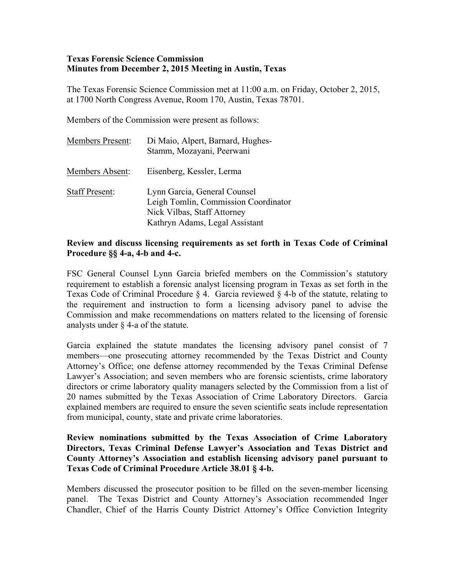## **Texas Forensic Science Commission Minutes from December 2, 2015 Meeting in Austin, Texas**

The Texas Forensic Science Commission met at 11:00 a.m. on Friday, October 2, 2015, at 1700 North Congress Avenue, Room 170, Austin, Texas 78701.

Members of the Commission were present as follows:

| <b>Members Present:</b> | Di Maio, Alpert, Barnard, Hughes-<br>Stamm, Mozayani, Peerwani                                                                        |
|-------------------------|---------------------------------------------------------------------------------------------------------------------------------------|
| Members Absent:         | Eisenberg, Kessler, Lerma                                                                                                             |
| <b>Staff Present:</b>   | Lynn Garcia, General Counsel<br>Leigh Tomlin, Commission Coordinator<br>Nick Vilbas, Staff Attorney<br>Kathryn Adams, Legal Assistant |

## **Review and discuss licensing requirements as set forth in Texas Code of Criminal Procedure §§ 4-a, 4-b and 4-c.**

FSC General Counsel Lynn Garcia briefed members on the Commission's statutory requirement to establish a forensic analyst licensing program in Texas as set forth in the Texas Code of Criminal Procedure § 4. Garcia reviewed § 4-b of the statute, relating to the requirement and instruction to form a licensing advisory panel to advise the Commission and make recommendations on matters related to the licensing of forensic analysts under § 4-a of the statute.

Garcia explained the statute mandates the licensing advisory panel consist of 7 members—one prosecuting attorney recommended by the Texas District and County Attorney's Office; one defense attorney recommended by the Texas Criminal Defense Lawyer's Association; and seven members who are forensic scientists, crime laboratory directors or crime laboratory quality managers selected by the Commission from a list of 20 names submitted by the Texas Association of Crime Laboratory Directors. Garcia explained members are required to ensure the seven scientific seats include representation from municipal, county, state and private crime laboratories.

## **Review nominations submitted by the Texas Association of Crime Laboratory Directors, Texas Criminal Defense Lawyer's Association and Texas District and County Attorney's Association and establish licensing advisory panel pursuant to Texas Code of Criminal Procedure Article 38.01 § 4-b.**

Members discussed the prosecutor position to be filled on the seven-member licensing panel. The Texas District and County Attorney's Association recommended Inger Chandler, Chief of the Harris County District Attorney's Office Conviction Integrity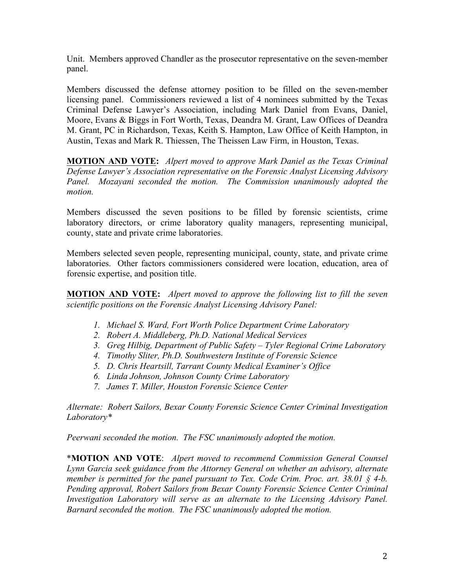Unit. Members approved Chandler as the prosecutor representative on the seven-member panel.

Members discussed the defense attorney position to be filled on the seven-member licensing panel. Commissioners reviewed a list of 4 nominees submitted by the Texas Criminal Defense Lawyer's Association, including Mark Daniel from Evans, Daniel, Moore, Evans & Biggs in Fort Worth, Texas, Deandra M. Grant, Law Offices of Deandra M. Grant, PC in Richardson, Texas, Keith S. Hampton, Law Office of Keith Hampton, in Austin, Texas and Mark R. Thiessen, The Theissen Law Firm, in Houston, Texas.

**MOTION AND VOTE:** *Alpert moved to approve Mark Daniel as the Texas Criminal Defense Lawyer's Association representative on the Forensic Analyst Licensing Advisory Panel. Mozayani seconded the motion. The Commission unanimously adopted the motion.*

Members discussed the seven positions to be filled by forensic scientists, crime laboratory directors, or crime laboratory quality managers, representing municipal, county, state and private crime laboratories.

Members selected seven people, representing municipal, county, state, and private crime laboratories. Other factors commissioners considered were location, education, area of forensic expertise, and position title.

**MOTION AND VOTE:** *Alpert moved to approve the following list to fill the seven scientific positions on the Forensic Analyst Licensing Advisory Panel:*

- *1. Michael S. Ward, Fort Worth Police Department Crime Laboratory*
- *2. Robert A. Middleberg, Ph.D. National Medical Services*
- *3. Greg Hilbig, Department of Public Safety – Tyler Regional Crime Laboratory*
- *4. Timothy Sliter, Ph.D. Southwestern Institute of Forensic Science*
- *5. D. Chris Heartsill, Tarrant County Medical Examiner's Office*
- *6. Linda Johnson, Johnson County Crime Laboratory*
- *7. James T. Miller, Houston Forensic Science Center*

*Alternate: Robert Sailors, Bexar County Forensic Science Center Criminal Investigation Laboratory\**

*Peerwani seconded the motion. The FSC unanimously adopted the motion.*

\***MOTION AND VOTE**: *Alpert moved to recommend Commission General Counsel Lynn Garcia seek guidance from the Attorney General on whether an advisory, alternate member is permitted for the panel pursuant to Tex. Code Crim. Proc. art. 38.01 § 4-b. Pending approval, Robert Sailors from Bexar County Forensic Science Center Criminal Investigation Laboratory will serve as an alternate to the Licensing Advisory Panel. Barnard seconded the motion. The FSC unanimously adopted the motion.*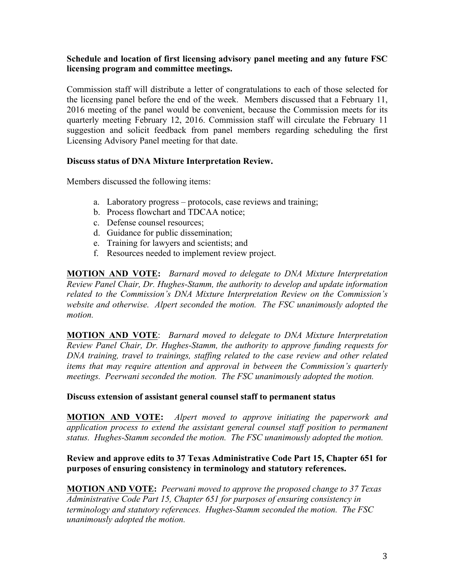## **Schedule and location of first licensing advisory panel meeting and any future FSC licensing program and committee meetings.**

Commission staff will distribute a letter of congratulations to each of those selected for the licensing panel before the end of the week. Members discussed that a February 11, 2016 meeting of the panel would be convenient, because the Commission meets for its quarterly meeting February 12, 2016. Commission staff will circulate the February 11 suggestion and solicit feedback from panel members regarding scheduling the first Licensing Advisory Panel meeting for that date.

## **Discuss status of DNA Mixture Interpretation Review.**

Members discussed the following items:

- a. Laboratory progress protocols, case reviews and training;
- b. Process flowchart and TDCAA notice;
- c. Defense counsel resources;
- d. Guidance for public dissemination;
- e. Training for lawyers and scientists; and
- f. Resources needed to implement review project.

**MOTION AND VOTE:** *Barnard moved to delegate to DNA Mixture Interpretation Review Panel Chair, Dr. Hughes-Stamm, the authority to develop and update information related to the Commission's DNA Mixture Interpretation Review on the Commission's website and otherwise. Alpert seconded the motion. The FSC unanimously adopted the motion.*

**MOTION AND VOTE**: *Barnard moved to delegate to DNA Mixture Interpretation Review Panel Chair, Dr. Hughes-Stamm, the authority to approve funding requests for DNA training, travel to trainings, staffing related to the case review and other related items that may require attention and approval in between the Commission's quarterly meetings. Peerwani seconded the motion. The FSC unanimously adopted the motion.*

#### **Discuss extension of assistant general counsel staff to permanent status**

**MOTION AND VOTE:** *Alpert moved to approve initiating the paperwork and application process to extend the assistant general counsel staff position to permanent status. Hughes-Stamm seconded the motion. The FSC unanimously adopted the motion.*

## **Review and approve edits to 37 Texas Administrative Code Part 15, Chapter 651 for purposes of ensuring consistency in terminology and statutory references.**

**MOTION AND VOTE:** *Peerwani moved to approve the proposed change to 37 Texas Administrative Code Part 15, Chapter 651 for purposes of ensuring consistency in terminology and statutory references. Hughes-Stamm seconded the motion. The FSC unanimously adopted the motion.*